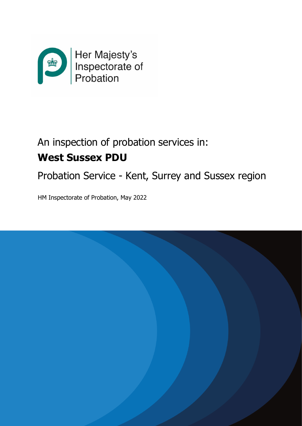

# An inspection of probation services in: **West Sussex PDU**

Probation Service - Kent, Surrey and Sussex region

HM Inspectorate of Probation, May 2022

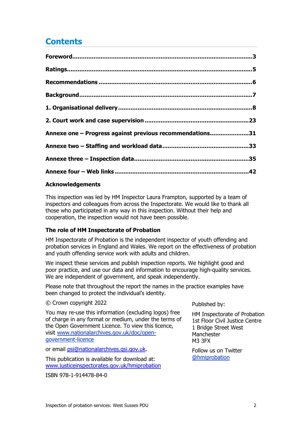# **Contents**

| Annexe one - Progress against previous recommendations31 |  |
|----------------------------------------------------------|--|
|                                                          |  |
|                                                          |  |
|                                                          |  |

### **Acknowledgements**

This inspection was led by HM Inspector Laura Frampton, supported by a team of inspectors and colleagues from across the Inspectorate. We would like to thank all those who participated in any way in this inspection. Without their help and cooperation, the inspection would not have been possible.

# **The role of HM Inspectorate of Probation**

HM Inspectorate of Probation is the independent inspector of youth offending and probation services in England and Wales. We report on the effectiveness of probation and youth offending service work with adults and children.

We inspect these services and publish inspection reports. We highlight good and poor practice, and use our data and information to encourage high-quality services. We are independent of government, and speak independently.

Please note that throughout the report the names in the practice examples have been changed to protect the individual's identity.

#### © Crown copyright 2022

You may re-use this information (excluding logos) free of charge in any format or medium, under the terms of the Open Government Licence. To view this licence, visit [www.nationalarchives.gov.uk/doc/open](http://www.nationalarchives.gov.uk/doc/open-government-licence)[government-licence](http://www.nationalarchives.gov.uk/doc/open-government-licence)

or email [psi@nationalarchives.gsi.gov.uk.](mailto:psi@nationalarchives.gsi.gov.uk)

This publication is available for download at: [www.justiceinspectorates.gov.uk/hmiprobation](http://www.justiceinspectorates.gov.uk/hmiprobation)

ISBN 978-1-914478-84-0

Published by:

HM Inspectorate of Probation 1st Floor Civil Justice Centre 1 Bridge Street West Manchester M3 3FX

Follow us on Twitter [@hmiprobation](https://twitter.com/HMIProbation)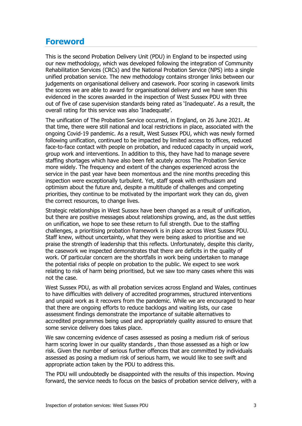# <span id="page-2-0"></span>**Foreword**

This is the second Probation Delivery Unit (PDU) in England to be inspected using our new methodology, which was developed following the integration of Community Rehabilitation Services (CRCs) and the National Probation Service (NPS) into a single unified probation service. The new methodology contains stronger links between our judgements on organisational delivery and casework. Poor scoring in casework limits the scores we are able to award for organisational delivery and we have seen this evidenced in the scores awarded in the inspection of West Sussex PDU with three out of five of case supervision standards being rated as 'Inadequate'. As a result, the overall rating for this service was also 'Inadequate'.

The unification of The Probation Service occurred, in England, on 26 June 2021. At that time, there were still national and local restrictions in place, associated with the ongoing Covid-19 pandemic. As a result, West Sussex PDU, which was newly formed following unification, continued to be impacted by limited access to offices, reduced face-to-face contact with people on probation, and reduced capacity in unpaid work, group work and interventions. In addition to this, they have had to manage severe staffing shortages which have also been felt acutely across The Probation Service more widely. The frequency and extent of the changes experienced across the service in the past year have been momentous and the nine months preceding this inspection were exceptionally turbulent. Yet, staff speak with enthusiasm and optimism about the future and, despite a multitude of challenges and competing priorities, they continue to be motivated by the important work they can do, given the correct resources, to change lives.

Strategic relationships in West Sussex have been changed as a result of unification, but there are positive messages about relationships growing, and, as the dust settles on unification, we hope to see these return to full strength. Due to the staffing challenges, a prioritising probation framework is in place across West Sussex PDU. Staff knew, without uncertainty, what they were being asked to prioritise and we praise the strength of leadership that this reflects. Unfortunately, despite this clarity, the casework we inspected demonstrates that there are deficits in the quality of work. Of particular concern are the shortfalls in work being undertaken to manage the potential risks of people on probation to the public. We expect to see work relating to risk of harm being prioritised, but we saw too many cases where this was not the case.

West Sussex PDU, as with all probation services across England and Wales, continues to have difficulties with delivery of accredited programmes, structured interventions and unpaid work as it recovers from the pandemic. While we are encouraged to hear that there are ongoing efforts to reduce backlogs and waiting lists, our case assessment findings demonstrate the importance of suitable alternatives to accredited programmes being used and appropriately quality assured to ensure that some service delivery does takes place.

We saw concerning evidence of cases assessed as posing a medium risk of serious harm scoring lower in our quality standards , than those assessed as a high or low risk. Given the number of serious further offences that are committed by individuals assessed as posing a medium risk of serious harm, we would like to see swift and appropriate action taken by the PDU to address this.

The PDU will undoubtedly be disappointed with the results of this inspection. Moving forward, the service needs to focus on the basics of probation service delivery, with a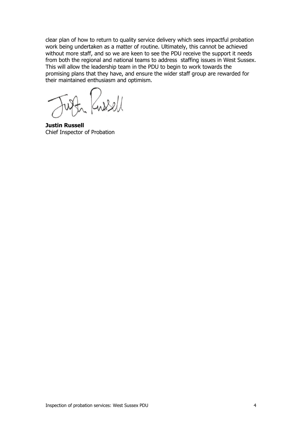clear plan of how to return to quality service delivery which sees impactful probation work being undertaken as a matter of routine. Ultimately, this cannot be achieved without more staff, and so we are keen to see the PDU receive the support it needs from both the regional and national teams to address staffing issues in West Sussex. This will allow the leadership team in the PDU to begin to work towards the promising plans that they have, and ensure the wider staff group are rewarded for their maintained enthusiasm and optimism.

 $920$ 

**Justin Russell** Chief Inspector of Probation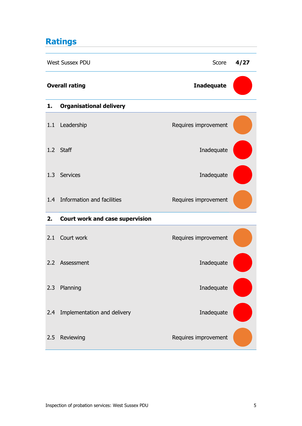# <span id="page-4-0"></span>**Ratings**

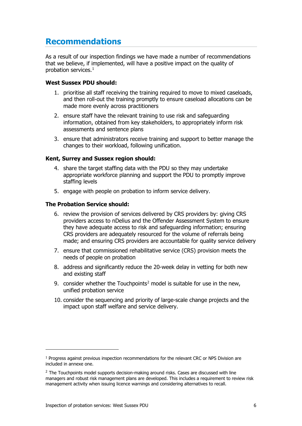# <span id="page-5-0"></span>**Recommendations**

As a result of our inspection findings we have made a number of recommendations that we believe, if implemented, will have a positive impact on the quality of probation services. [1](#page-5-1)

#### **West Sussex PDU should:**

- 1. prioritise all staff receiving the training required to move to mixed caseloads, and then roll-out the training promptly to ensure caseload allocations can be made more evenly across practitioners
- 2. ensure staff have the relevant training to use risk and safeguarding information, obtained from key stakeholders, to appropriately inform risk assessments and sentence plans
- 3. ensure that administrators receive training and support to better manage the changes to their workload, following unification.

#### **Kent, Surrey and Sussex region should:**

- 4. share the target staffing data with the PDU so they may undertake appropriate workforce planning and support the PDU to promptly improve staffing levels
- 5. engage with people on probation to inform service delivery.

#### **The Probation Service should:**

- 6. review the provision of services delivered by CRS providers by: giving CRS providers access to nDelius and the Offender Assessment System to ensure they have adequate access to risk and safeguarding information; ensuring CRS providers are adequately resourced for the volume of referrals being made; and ensuring CRS providers are accountable for quality service delivery
- 7. ensure that commissioned rehabilitative service (CRS) provision meets the needs of people on probation
- 8. address and significantly reduce the 20-week delay in vetting for both new and existing staff
- 9. consider whether the Touchpoints<sup>[2](#page-5-2)</sup> model is suitable for use in the new, unified probation service
- 10. consider the sequencing and priority of large-scale change projects and the impact upon staff welfare and service delivery.

<span id="page-5-1"></span> $1$  Progress against previous inspection recommendations for the relevant CRC or NPS Division are included in annexe one.

<span id="page-5-2"></span> $<sup>2</sup>$  The Touchpoints model supports decision-making around risks. Cases are discussed with line</sup> managers and robust risk management plans are developed. This includes a requirement to review risk management activity when issuing licence warnings and considering alternatives to recall.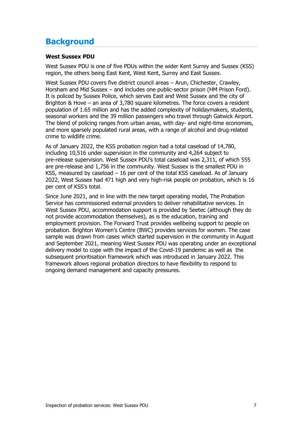# <span id="page-6-0"></span>**Background**

#### **West Sussex PDU**

West Sussex PDU is one of five PDUs within the wider Kent Surrey and Sussex (KSS) region, the others being East Kent, West Kent, Surrey and East Sussex.

West Sussex PDU covers five district council areas - Arun, Chichester, Crawley, Horsham and Mid Sussex – and includes one public-sector prison (HM Prison Ford). It is policed by Sussex Police, which serves East and West Sussex and the city of Brighton & Hove – an area of 3,780 square kilometres. The force covers a resident population of 1.65 million and has the added complexity of holidaymakers, students, seasonal workers and the 39 million passengers who travel through Gatwick Airport. The blend of policing ranges from urban areas, with day- and night-time economies, and more sparsely populated rural areas, with a range of alcohol and drug-related crime to wildlife crime.

As of January 2022, the KSS probation region had a total caseload of 14,780, including 10,516 under supervision in the community and 4,264 subject to pre-release supervision. West Sussex PDU's total caseload was 2,311, of which 555 are pre-release and 1,756 in the community. West Sussex is the smallest PDU in KSS, measured by caseload – 16 per cent of the total KSS caseload. As of January 2022, West Sussex had 471 high and very high-risk people on probation, which is 16 per cent of KSS's total.

<span id="page-6-1"></span>Since June 2021, and in line with the new target operating model, The Probation Service has commissioned external providers to deliver rehabilitative services. In West Sussex PDU, accommodation support is provided by Seetec (although they do not provide accommodation themselves), as is the education, training and employment provision. The Forward Trust provides wellbeing support to people on probation. Brighton Women's Centre (BWC) provides services for women. The case sample was drawn from cases which started supervision in the community in August and September 2021, meaning West Sussex PDU was operating under an exceptional delivery model to cope with the impact of the Covid-19 pandemic as well as the subsequent [prioritisation framework](https://justiceuk.sharepoint.com/:w:/s/SilverCOVID-19-EDMGuidance/EYzFo_VOQVtIqGKks63uGncBDge7fshmsWmzenHdfjV-KA?e=zXA87a&isSPOFile=1) which was introduced in January 2022. This framework allows regional probation directors to have flexibility to respond to ongoing demand management and capacity pressures.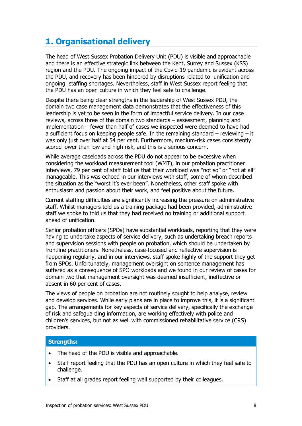# **1. Organisational delivery**

The head of West Sussex Probation Delivery Unit (PDU) is visible and approachable and there is an effective strategic link between the Kent, Surrey and Sussex (KSS) region and the PDU. The ongoing impact of the Covid-19 pandemic is evident across the PDU, and recovery has been hindered by disruptions related to unification and ongoing staffing shortages. Nevertheless, staff in West Sussex report feeling that the PDU has an open culture in which they feel safe to challenge.

Despite there being clear strengths in the leadership of West Sussex PDU, the domain two case management data demonstrates that the effectiveness of this leadership is yet to be seen in the form of impactful service delivery. In our case reviews, across three of the domain two standards – assessment, planning and implementation – fewer than half of cases we inspected were deemed to have had a sufficient focus on keeping people safe. In the remaining standard  $-$  reviewing  $-$  it was only just over half at 54 per cent. Furthermore, medium-risk cases consistently scored lower than low and high risk, and this is a serious concern.

While average caseloads across the PDU do not appear to be excessive when considering the workload measurement tool (WMT), in our probation practitioner interviews, 79 per cent of staff told us that their workload was "not so" or "not at all" manageable. This was echoed in our interviews with staff, some of whom described the situation as the "worst it's ever been". Nonetheless, other staff spoke with enthusiasm and passion about their work, and feel positive about the future.

Current staffing difficulties are significantly increasing the pressure on administrative staff. Whilst managers told us a training package had been provided, administrative staff we spoke to told us that they had received no training or additional support ahead of unification.

Senior probation officers (SPOs) have substantial workloads, reporting that they were having to undertake aspects of service delivery, such as undertaking breach reports and supervision sessions with people on probation, which should be undertaken by frontline practitioners. Nonetheless, case-focused and reflective supervision is happening regularly, and in our interviews, staff spoke highly of the support they get from SPOs. Unfortunately, management oversight on sentence management has suffered as a consequence of SPO workloads and we found in our review of cases for domain two that management oversight was deemed insufficient, ineffective or absent in 60 per cent of cases.

The views of people on probation are not routinely sought to help analyse, review and develop services. While early plans are in place to improve this, it is a significant gap. The arrangements for key aspects of service delivery, specifically the exchange of risk and safeguarding information, are working effectively with police and children's services, but not as well with commissioned rehabilitative service (CRS) providers.

#### **Strengths:**

- The head of the PDU is visible and approachable.
- Staff report feeling that the PDU has an open culture in which they feel safe to challenge.
- Staff at all grades report feeling well supported by their colleagues.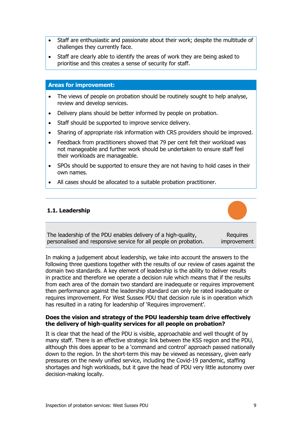- Staff are enthusiastic and passionate about their work; despite the multitude of challenges they currently face.
- Staff are clearly able to identify the areas of work they are being asked to prioritise and this creates a sense of security for staff.

#### **Areas for improvement:**

- The views of people on probation should be routinely sought to help analyse, review and develop services.
- Delivery plans should be better informed by people on probation.
- Staff should be supported to improve service delivery.
- Sharing of appropriate risk information with CRS providers should be improved.
- Feedback from practitioners showed that 79 per cent felt their workload was not manageable and further work should be undertaken to ensure staff feel their workloads are manageable.
- SPOs should be supported to ensure they are not having to hold cases in their own names.
- All cases should be allocated to a suitable probation practitioner.

#### **1.1. Leadership**



The leadership of the PDU enables delivery of a high-quality, personalised and responsive service for all people on probation. **Requires** improvement

In making a judgement about leadership, we take into account the answers to the following three questions together with the results of our review of cases against the domain two standards. A key element of leadership is the ability to deliver results in practice and therefore we operate a decision rule which means that if the results from each area of the domain two standard are inadequate or requires improvement then performance against the leadership standard can only be rated inadequate or requires improvement. For West Sussex PDU that decision rule is in operation which has resulted in a rating for leadership of 'Requires improvement'.

#### **Does the vision and strategy of the PDU leadership team drive effectively the delivery of high-quality services for all people on probation?**

It is clear that the head of the PDU is visible, approachable and well thought of by many staff. There is an effective strategic link between the KSS region and the PDU, although this does appear to be a 'command and control' approach passed nationally down to the region. In the short-term this may be viewed as necessary, given early pressures on the newly unified service, including the Covid-19 pandemic, staffing shortages and high workloads, but it gave the head of PDU very little autonomy over decision-making locally.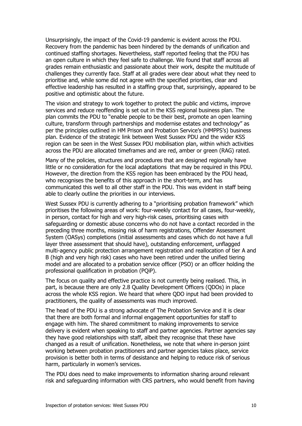Unsurprisingly, the impact of the Covid-19 pandemic is evident across the PDU. Recovery from the pandemic has been hindered by the demands of unification and continued staffing shortages. Nevertheless, staff reported feeling that the PDU has an open culture in which they feel safe to challenge. We found that staff across all grades remain enthusiastic and passionate about their work, despite the multitude of challenges they currently face. Staff at all grades were clear about what they need to prioritise and, while some did not agree with the specified priorities, clear and effective leadership has resulted in a staffing group that, surprisingly, appeared to be positive and optimistic about the future.

The vision and strategy to work together to protect the public and victims, improve services and reduce reoffending is set out in the KSS regional business plan. The plan commits the PDU to "enable people to be their best, promote an open learning culture, transform through partnerships and modernise estates and technology" as per the principles outlined in HM Prison and Probation Service's (HMPPS's) business plan. Evidence of the strategic link between West Sussex PDU and the wider KSS region can be seen in the West Sussex PDU mobilisation plan, within which activities across the PDU are allocated timeframes and are red, amber or green (RAG) rated.

Many of the policies, structures and procedures that are designed regionally have little or no consideration for the local adaptations that may be required in this PDU. However, the direction from the KSS region has been embraced by the PDU head, who recognises the benefits of this approach in the short-term, and has communicated this well to all other staff in the PDU. This was evident in staff being able to clearly outline the priorities in our interviews.

West Sussex PDU is currently adhering to a "prioritising probation framework" which prioritises the following areas of work: four-weekly contact for all cases, four-weekly, in person, contact for high and very high-risk cases, prioritising cases with safeguarding or domestic abuse concerns who do not have a contact recorded in the preceding three months, missing risk of harm registrations, Offender Assessment System (OASys) completions (initial assessments and cases which do not have a full layer three assessment that should have), outstanding enforcement, unflagged multi-agency public protection arrangement registration and reallocation of tier A and B (high and very high risk) cases who have been retired under the unified tiering model and are allocated to a probation service officer (PSO) or an officer holding the professional qualification in probation (PQiP).

The focus on quality and effective practice is not currently being realised. This, in part, is because there are only 2.8 Quality Development Officers (QDOs) in place across the whole KSS region. We heard that where QDO input had been provided to practitioners, the quality of assessments was much improved.

The head of the PDU is a strong advocate of The Probation Service and it is clear that there are both formal and informal engagement opportunities for staff to engage with him. The shared commitment to making improvements to service delivery is evident when speaking to staff and partner agencies. Partner agencies say they have good relationships with staff, albeit they recognise that these have changed as a result of unification. Nonetheless, we note that where in-person joint working between probation practitioners and partner agencies takes place, service provision is better both in terms of desistance and helping to reduce risk of serious harm, particularly in women's services.

The PDU does need to make improvements to information sharing around relevant risk and safeguarding information with CRS partners, who would benefit from having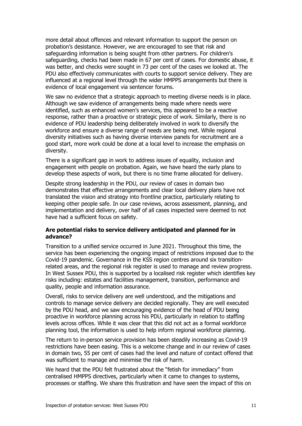more detail about offences and relevant information to support the person on probation's desistance. However, we are encouraged to see that risk and safeguarding information is being sought from other partners. For children's safeguarding, checks had been made in 67 per cent of cases. For domestic abuse, it was better, and checks were sought in 73 per cent of the cases we looked at. The PDU also effectively communicates with courts to support service delivery. They are influenced at a regional level through the wider HMPPS arrangements but there is evidence of local engagement via sentencer forums.

We saw no evidence that a strategic approach to meeting diverse needs is in place. Although we saw evidence of arrangements being made where needs were identified, such as enhanced women's services, this appeared to be a reactive response, rather than a proactive or strategic piece of work. Similarly, there is no evidence of PDU leadership being deliberately involved in work to diversify the workforce and ensure a diverse range of needs are being met. While regional diversity initiatives such as having diverse interview panels for recruitment are a good start, more work could be done at a local level to increase the emphasis on diversity.

There is a significant gap in work to address issues of equality, inclusion and engagement with people on probation. Again, we have heard the early plans to develop these aspects of work, but there is no time frame allocated for delivery.

Despite strong leadership in the PDU, our review of cases in domain two demonstrates that effective arrangements and clear local delivery plans have not translated the vision and strategy into frontline practice, particularly relating to keeping other people safe. In our case reviews, across assessment, planning, and implementation and delivery, over half of all cases inspected were deemed to not have had a sufficient focus on safety.

#### **Are potential risks to service delivery anticipated and planned for in advance?**

Transition to a unified service occurred in June 2021. Throughout this time, the service has been experiencing the ongoing impact of restrictions imposed due to the Covid-19 pandemic. Governance in the KSS region centres around six transitionrelated areas, and the regional risk register is used to manage and review progress. In West Sussex PDU, this is supported by a localised risk register which identifies key risks including: estates and facilities management, transition, performance and quality, people and information assurance.

Overall, risks to service delivery are well understood, and the mitigations and controls to manage service delivery are decided regionally. They are well executed by the PDU head, and we saw encouraging evidence of the head of PDU being proactive in workforce planning across his PDU, particularly in relation to staffing levels across offices. While it was clear that this did not act as a formal workforce planning tool, the information is used to help inform regional workforce planning.

The return to in-person service provision has been steadily increasing as Covid-19 restrictions have been easing. This is a welcome change and in our review of cases in domain two, 55 per cent of cases had the level and nature of contact offered that was sufficient to manage and minimise the risk of harm.

We heard that the PDU felt frustrated about the "fetish for immediacy" from centralised HMPPS directives, particularly when it came to changes to systems, processes or staffing. We share this frustration and have seen the impact of this on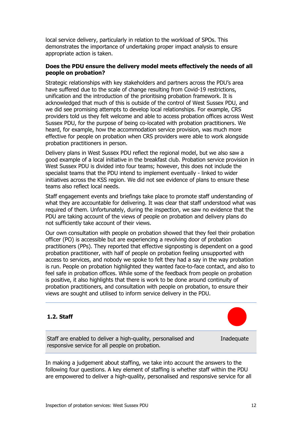local service delivery, particularly in relation to the workload of SPOs. This demonstrates the importance of undertaking proper impact analysis to ensure appropriate action is taken.

### **Does the PDU ensure the delivery model meets effectively the needs of all people on probation?**

Strategic relationships with key stakeholders and partners across the PDU's area have suffered due to the scale of change resulting from Covid-19 restrictions, unification and the introduction of the prioritising probation framework. It is acknowledged that much of this is outside of the control of West Sussex PDU, and we did see promising attempts to develop local relationships. For example, CRS providers told us they felt welcome and able to access probation offices across West Sussex PDU, for the purpose of being co-located with probation practitioners. We heard, for example, how the accommodation service provision, was much more effective for people on probation when CRS providers were able to work alongside probation practitioners in person.

Delivery plans in West Sussex PDU reflect the regional model, but we also saw a good example of a local initiative in the breakfast club. Probation service provision in West Sussex PDU is divided into four teams; however, this does not include the specialist teams that the PDU intend to implement eventually - linked to wider initiatives across the KSS region. We did not see evidence of plans to ensure these teams also reflect local needs.

Staff engagement events and briefings take place to promote staff understanding of what they are accountable for delivering. It was clear that staff understood what was required of them. Unfortunately, during the inspection, we saw no evidence that the PDU are taking account of the views of people on probation and delivery plans do not sufficiently take account of their views.

Our own consultation with people on probation showed that they feel their probation officer (PO) is accessible but are experiencing a revolving door of probation practitioners (PPs). They reported that effective signposting is dependent on a good probation practitioner, with half of people on probation feeling unsupported with access to services, and nobody we spoke to felt they had a say in the way probation is run. People on probation highlighted they wanted face-to-face contact, and also to feel safe in probation offices. While some of the feedback from people on probation is positive, it also highlights that there is work to be done around continuity of probation practitioners, and consultation with people on probation, to ensure their views are sought and utilised to inform service delivery in the PDU.

# **1.2. Staff**



Staff are enabled to deliver a high-quality, personalised and responsive service for all people on probation.

**Inadequate** 

In making a judgement about staffing, we take into account the answers to the following four questions. A key element of staffing is whether staff within the PDU are empowered to deliver a high-quality, personalised and responsive service for all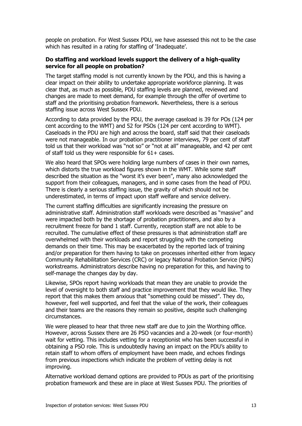people on probation. For West Sussex PDU, we have assessed this not to be the case which has resulted in a rating for staffing of 'Inadequate'.

#### **Do staffing and workload levels support the delivery of a high-quality service for all people on probation?**

The target staffing model is not currently known by the PDU, and this is having a clear impact on their ability to undertake appropriate workforce planning. It was clear that, as much as possible, PDU staffing levels are planned, reviewed and changes are made to meet demand, for example through the offer of overtime to staff and the prioritising probation framework. Nevertheless, there is a serious staffing issue across West Sussex PDU.

According to data provided by the PDU, the average caseload is 39 for POs (124 per cent according to the WMT) and 52 for PSOs (124 per cent according to WMT). Caseloads in the PDU are high and across the board, staff said that their caseloads were not manageable. In our probation practitioner interviews, 79 per cent of staff told us that their workload was "not so" or "not at all" manageable, and 42 per cent of staff told us they were responsible for 61+ cases.

We also heard that SPOs were holding large numbers of cases in their own names, which distorts the true workload figures shown in the WMT. While some staff described the situation as the "worst it's ever been", many also acknowledged the support from their colleagues, managers, and in some cases from the head of PDU. There is clearly a serious staffing issue, the gravity of which should not be underestimated, in terms of impact upon staff welfare and service delivery.

The current staffing difficulties are significantly increasing the pressure on administrative staff. Administration staff workloads were described as "massive" and were impacted both by the shortage of probation practitioners, and also by a recruitment freeze for band 1 staff. Currently, reception staff are not able to be recruited. The cumulative effect of these pressures is that administration staff are overwhelmed with their workloads and report struggling with the competing demands on their time. This may be exacerbated by the reported lack of training and/or preparation for them having to take on processes inherited either from legacy Community Rehabilitation Services (CRC) or legacy National Probation Service (NPS) workstreams. Administrators describe having no preparation for this, and having to self-manage the changes day by day.

Likewise, SPOs report having workloads that mean they are unable to provide the level of oversight to both staff and practice improvement that they would like. They report that this makes them anxious that "something could be missed". They do, however, feel well supported, and feel that the value of the work, their colleagues and their teams are the reasons they remain so positive, despite such challenging circumstances.

We were pleased to hear that three new staff are due to join the Worthing office. However, across Sussex there are 26 PSO vacancies and a 20-week (or four-month) wait for vetting. This includes vetting for a receptionist who has been successful in obtaining a PSO role. This is undoubtedly having an impact on the PDU's ability to retain staff to whom offers of employment have been made, and echoes findings from previous inspections which indicate the problem of vetting delay is not improving.

Alternative workload demand options are provided to PDUs as part of the prioritising probation framework and these are in place at West Sussex PDU. The priorities of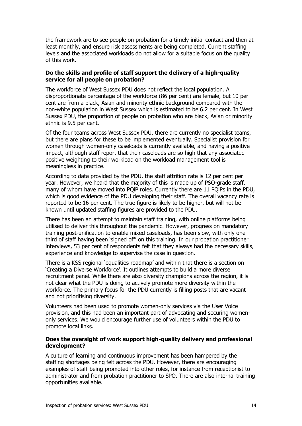the framework are to see people on probation for a timely initial contact and then at least monthly, and ensure risk assessments are being completed. Current staffing levels and the associated workloads do not allow for a suitable focus on the quality of this work.

#### **Do the skills and profile of staff support the delivery of a high-quality service for all people on probation?**

The workforce of West Sussex PDU does not reflect the local population. A disproportionate percentage of the workforce (86 per cent) are female, but 10 per cent are from a black, Asian and minority ethnic background compared with the non-white population in West Sussex which is estimated to be 6.2 per cent. In West Sussex PDU, the proportion of people on probation who are black, Asian or minority ethnic is 9.5 per cent.

Of the four teams across West Sussex PDU, there are currently no specialist teams, but there are plans for these to be implemented eventually. Specialist provision for women through women-only caseloads is currently available, and having a positive impact, although staff report that their caseloads are so high that any associated positive weighting to their workload on the workload management tool is meaningless in practice.

According to data provided by the PDU, the staff attrition rate is 12 per cent per year. However, we heard that the majority of this is made up of PSO-grade staff, many of whom have moved into PQiP roles. Currently there are 11 PQiPs in the PDU, which is good evidence of the PDU developing their staff. The overall vacancy rate is reported to be 16 per cent. The true figure is likely to be higher, but will not be known until updated staffing figures are provided to the PDU.

There has been an attempt to maintain staff training, with online platforms being utilised to deliver this throughout the pandemic. However, progress on mandatory training post-unification to enable mixed caseloads, has been slow, with only one third of staff having been 'signed off' on this training. In our probation practitioner interviews, 53 per cent of respondents felt that they always had the necessary skills, experience and knowledge to supervise the case in question.

There is a KSS regional 'equalities roadmap' and within that there is a section on 'Creating a Diverse Workforce'. It outlines attempts to build a more diverse recruitment panel. While there are also diversity champions across the region, it is not clear what the PDU is doing to actively promote more diversity within the workforce. The primary focus for the PDU currently is filling posts that are vacant and not prioritising diversity.

Volunteers had been used to promote women-only services via the User Voice provision, and this had been an important part of advocating and securing womenonly services. We would encourage further use of volunteers within the PDU to promote local links.

#### **Does the oversight of work support high-quality delivery and professional development?**

A culture of learning and continuous improvement has been hampered by the staffing shortages being felt across the PDU. However, there are encouraging examples of staff being promoted into other roles, for instance from receptionist to administrator and from probation practitioner to SPO. There are also internal training opportunities available.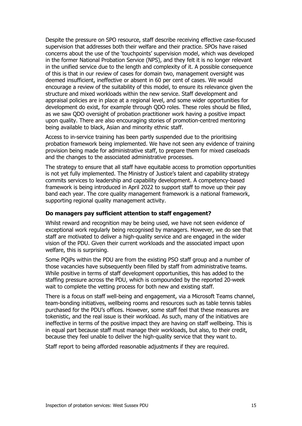Despite the pressure on SPO resource, staff describe receiving effective case-focused supervision that addresses both their welfare and their practice. SPOs have raised concerns about the use of the 'touchpoints' supervision model, which was developed in the former National Probation Service (NPS), and they felt it is no longer relevant in the unified service due to the length and complexity of it. A possible consequence of this is that in our review of cases for domain two, management oversight was deemed insufficient, ineffective or absent in 60 per cent of cases. We would encourage a review of the suitability of this model, to ensure its relevance given the structure and mixed workloads within the new service. Staff development and appraisal policies are in place at a regional level, and some wider opportunities for development do exist, for example through QDO roles. These roles should be filled, as we saw QDO oversight of probation practitioner work having a positive impact upon quality. There are also encouraging stories of promotion-centred mentoring being available to black, Asian and minority ethnic staff.

Access to in-service training has been partly suspended due to the prioritising probation framework being implemented. We have not seen any evidence of training provision being made for administrative staff, to prepare them for mixed caseloads and the changes to the associated administrative processes.

The strategy to ensure that all staff have equitable access to promotion opportunities is not yet fully implemented. The Ministry of Justice's talent and capability strategy commits services to leadership and capability development. A competency-based framework is being introduced in April 2022 to support staff to move up their pay band each year. The core quality management framework is a national framework, supporting regional quality management activity.

#### **Do managers pay sufficient attention to staff engagement?**

Whilst reward and recognition may be being used, we have not seen evidence of exceptional work regularly being recognised by managers. However, we do see that staff are motivated to deliver a high-quality service and are engaged in the wider vision of the PDU. Given their current workloads and the associated impact upon welfare, this is surprising.

Some PQiPs within the PDU are from the existing PSO staff group and a number of those vacancies have subsequently been filled by staff from administrative teams. While positive in terms of staff development opportunities, this has added to the staffing pressure across the PDU, which is compounded by the reported 20-week wait to complete the vetting process for both new and existing staff.

There is a focus on staff well-being and engagement, via a Microsoft Teams channel, team-bonding initiatives, wellbeing rooms and resources such as table tennis tables purchased for the PDU's offices. However, some staff feel that these measures are tokenistic, and the real issue is their workload. As such, many of the initiatives are ineffective in terms of the positive impact they are having on staff wellbeing. This is in equal part because staff must manage their workloads, but also, to their credit, because they feel unable to deliver the high-quality service that they want to.

Staff report to being afforded reasonable adjustments if they are required.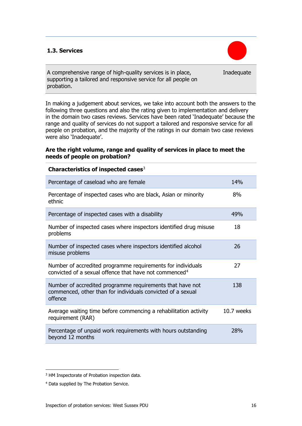# **1.3. Services**



Inadequate

A comprehensive range of high-quality services is in place, supporting a tailored and responsive service for all people on probation.

In making a judgement about services, we take into account both the answers to the following three questions and also the rating given to implementation and delivery in the domain two cases reviews. Services have been rated 'Inadequate' because the range and quality of services do not support a tailored and responsive service for all people on probation, and the majority of the ratings in our domain two case reviews were also 'Inadequate'.

### **Are the right volume, range and quality of services in place to meet the needs of people on probation?**

| Characteristics of inspected cases $3$                                                                                              |            |
|-------------------------------------------------------------------------------------------------------------------------------------|------------|
| Percentage of caseload who are female                                                                                               | 14%        |
| Percentage of inspected cases who are black, Asian or minority<br>ethnic                                                            | 8%         |
| Percentage of inspected cases with a disability                                                                                     | 49%        |
| Number of inspected cases where inspectors identified drug misuse<br>problems                                                       | 18         |
| Number of inspected cases where inspectors identified alcohol<br>misuse problems                                                    | 26         |
| Number of accredited programme requirements for individuals<br>convicted of a sexual offence that have not commenced <sup>4</sup>   | 27         |
| Number of accredited programme requirements that have not<br>commenced, other than for individuals convicted of a sexual<br>offence | 138        |
| Average waiting time before commencing a rehabilitation activity<br>requirement (RAR)                                               | 10.7 weeks |
| Percentage of unpaid work requirements with hours outstanding<br>beyond 12 months                                                   | 28%        |

<span id="page-15-0"></span><sup>&</sup>lt;sup>3</sup> HM Inspectorate of Probation inspection data.

<span id="page-15-1"></span><sup>4</sup> Data supplied by The Probation Service.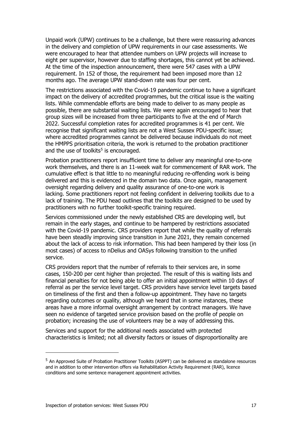Unpaid work (UPW) continues to be a challenge, but there were reassuring advances in the delivery and completion of UPW requirements in our case assessments. We were encouraged to hear that attendee numbers on UPW projects will increase to eight per supervisor, however due to staffing shortages, this cannot yet be achieved. At the time of the inspection announcement, there were 547 cases with a UPW requirement. In 152 of those, the requirement had been imposed more than 12 months ago. The average UPW stand-down rate was four per cent.

The restrictions associated with the Covid-19 pandemic continue to have a significant impact on the delivery of accredited programmes, but the critical issue is the waiting lists. While commendable efforts are being made to deliver to as many people as possible, there are substantial waiting lists. We were again encouraged to hear that group sizes will be increased from three participants to five at the end of March 2022. Successful completion rates for accredited programmes is 41 per cent. We recognise that significant waiting lists are not a West Sussex PDU-specific issue; where accredited programmes cannot be delivered because individuals do not meet the HMPPS prioritisation criteria, the work is returned to the probation practitioner and the use of toolkits<sup>[5](#page-16-0)</sup> is encouraged.

Probation practitioners report insufficient time to deliver any meaningful one-to-one work themselves, and there is an 11-week wait for commencement of RAR work. The cumulative effect is that little to no meaningful reducing re-offending work is being delivered and this is evidenced in the domain two data. Once again, management oversight regarding delivery and quality assurance of one-to-one work is lacking. Some practitioners report not feeling confident in delivering toolkits due to a lack of training. The PDU head outlines that the toolkits are designed to be used by practitioners with no further toolkit-specific training required.

Services commissioned under the newly established CRS are developing well, but remain in the early stages, and continue to be hampered by restrictions associated with the Covid-19 pandemic. CRS providers report that while the quality of referrals have been steadily improving since transition in June 2021, they remain concerned about the lack of access to risk information. This had been hampered by their loss (in most cases) of access to nDelius and OASys following transition to the unified service.

CRS providers report that the number of referrals to their services are, in some cases, 150-200 per cent higher than projected. The result of this is waiting lists and financial penalties for not being able to offer an initial appointment within 10 days of referral as per the service level target. CRS providers have service level targets based on timeliness of the first and then a follow-up appointment. They have no targets regarding outcomes or quality, although we heard that in some instances, these areas have a more informal oversight arrangement by contract managers. We have seen no evidence of targeted service provision based on the profile of people on probation; increasing the use of volunteers may be a way of addressing this.

Services and support for the additional needs associated with protected characteristics is limited; not all diversity factors or issues of disproportionality are

<span id="page-16-0"></span><sup>5</sup> An Approved Suite of Probation Practitioner Toolkits (ASPPT) can be delivered as standalone resources and in addition to other intervention offers via Rehabilitation Activity Requirement (RAR), licence conditions and some sentence management appointment activities.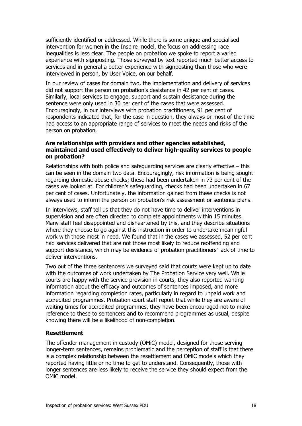sufficiently identified or addressed. While there is some unique and specialised intervention for women in the Inspire model, the focus on addressing race inequalities is less clear. The people on probation we spoke to report a varied experience with signposting. Those surveyed by text reported much better access to services and in general a better experience with signposting than those who were interviewed in person, by User Voice, on our behalf.

In our review of cases for domain two, the implementation and delivery of services did not support the person on probation's desistance in 42 per cent of cases. Similarly, local services to engage, support and sustain desistance during the sentence were only used in 30 per cent of the cases that were assessed. Encouragingly, in our interviews with probation practitioners, 91 per cent of respondents indicated that, for the case in question, they always or most of the time had access to an appropriate range of services to meet the needs and risks of the person on probation.

#### **Are relationships with providers and other agencies established, maintained and used effectively to deliver high-quality services to people on probation?**

Relationships with both police and safeguarding services are clearly effective – this can be seen in the domain two data. Encouragingly, risk information is being sought regarding domestic abuse checks; these had been undertaken in 73 per cent of the cases we looked at. For children's safeguarding, checks had been undertaken in 67 per cent of cases. Unfortunately, the information gained from these checks is not always used to inform the person on probation's risk assessment or sentence plans.

In interviews, staff tell us that they do not have time to deliver interventions in supervision and are often directed to complete appointments within 15 minutes. Many staff feel disappointed and disheartened by this, and they describe situations where they choose to go against this instruction in order to undertake meaningful work with those most in need. We found that in the cases we assessed, 52 per cent had services delivered that are not those most likely to reduce reoffending and support desistance, which may be evidence of probation practitioners' lack of time to deliver interventions.

Two out of the three sentencers we surveyed said that courts were kept up to date with the outcomes of work undertaken by The Probation Service very well. While courts are happy with the service provision in courts, they also reported wanting information about the efficacy and outcomes of sentences imposed, and more information regarding completion rates, particularly in regard to unpaid work and accredited programmes. Probation court staff report that while they are aware of waiting times for accredited programmes, they have been encouraged not to make reference to these to sentencers and to recommend programmes as usual, despite knowing there will be a likelihood of non-completion.

# **Resettlement**

The offender management in custody (OMiC) model, designed for those serving longer-term sentences, remains problematic and the perception of staff is that there is a complex relationship between the resettlement and OMiC models which they reported having little or no time to get to understand. Consequently, those with longer sentences are less likely to receive the service they should expect from the OMiC model.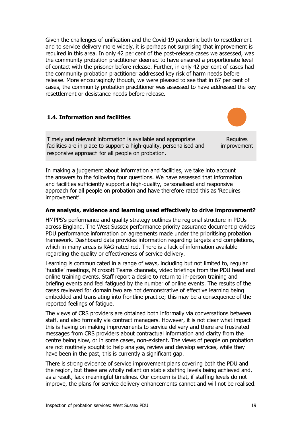Given the challenges of unification and the Covid-19 pandemic both to resettlement and to service delivery more widely, it is perhaps not surprising that improvement is required in this area. In only 42 per cent of the post-release cases we assessed, was the community probation practitioner deemed to have ensured a proportionate level of contact with the prisoner before release. Further, in only 42 per cent of cases had the community probation practitioner addressed key risk of harm needs before release. More encouragingly though, we were pleased to see that in 67 per cent of cases, the community probation practitioner was assessed to have addressed the key resettlement or desistance needs before release.

#### **1.4. Information and facilities**

Timely and relevant information is available and appropriate facilities are in place to support a high-quality, personalised and responsive approach for all people on probation.

Requires improvement

In making a judgement about information and facilities, we take into account the answers to the following four questions. We have assessed that information and facilities sufficiently support a high-quality, personalised and responsive approach for all people on probation and have therefore rated this as 'Requires improvement'.

#### **Are analysis, evidence and learning used effectively to drive improvement?**

HMPPS's performance and quality strategy outlines the regional structure in PDUs across England. The West Sussex performance priority assurance document provides PDU performance information on agreements made under the prioritising probation framework. Dashboard data provides information regarding targets and completions, which in many areas is RAG-rated red. There is a lack of information available regarding the quality or effectiveness of service delivery.

Learning is communicated in a range of ways, including but not limited to, regular 'huddle' meetings, Microsoft Teams channels, video briefings from the PDU head and online training events. Staff report a desire to return to in-person training and briefing events and feel fatigued by the number of online events. The results of the cases reviewed for domain two are not demonstrative of effective learning being embedded and translating into frontline practice; this may be a consequence of the reported feelings of fatigue.

The views of CRS providers are obtained both informally via conversations between staff, and also formally via contract managers. However, it is not clear what impact this is having on making improvements to service delivery and there are frustrated messages from CRS providers about contractual information and clarity from the centre being slow, or in some cases, non-existent. The views of people on probation are not routinely sought to help analyse, review and develop services, while they have been in the past, this is currently a significant gap.

There is strong evidence of service improvement plans covering both the PDU and the region, but these are wholly reliant on stable staffing levels being achieved and, as a result, lack meaningful timelines. Our concern is that, if staffing levels do not improve, the plans for service delivery enhancements cannot and will not be realised.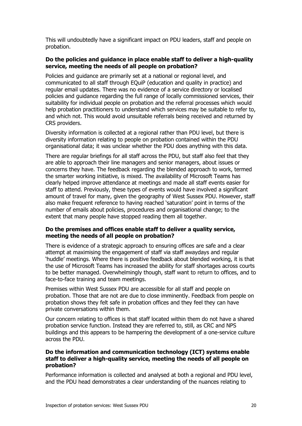This will undoubtedly have a significant impact on PDU leaders, staff and people on probation.

### **Do the policies and guidance in place enable staff to deliver a high-quality service, meeting the needs of all people on probation?**

Policies and guidance are primarily set at a national or regional level, and communicated to all staff through EQuiP (education and quality in practice) and regular email updates. There was no evidence of a service directory or localised policies and guidance regarding the full range of locally commissioned services, their suitability for individual people on probation and the referral processes which would help probation practitioners to understand which services may be suitable to refer to, and which not. This would avoid unsuitable referrals being received and returned by CRS providers.

Diversity information is collected at a regional rather than PDU level, but there is diversity information relating to people on probation contained within the PDU organisational data; it was unclear whether the PDU does anything with this data.

There are regular briefings for all staff across the PDU, but staff also feel that they are able to approach their line managers and senior managers, about issues or concerns they have. The feedback regarding the blended approach to work, termed the smarter working initiative, is mixed. The availability of Microsoft Teams has clearly helped improve attendance at meetings and made all staff events easier for staff to attend. Previously, these types of events would have involved a significant amount of travel for many, given the geography of West Sussex PDU. However, staff also make frequent reference to having reached 'saturation' point in terms of the number of emails about policies, procedures and organisational change; to the extent that many people have stopped reading them all together.

#### **Do the premises and offices enable staff to deliver a quality service, meeting the needs of all people on probation?**

There is evidence of a strategic approach to ensuring offices are safe and a clear attempt at maximising the engagement of staff via staff awaydays and regular 'huddle' meetings. Where there is positive feedback about blended working, it is that the use of Microsoft Teams has increased the ability for staff shortages across courts to be better managed. Overwhelmingly though, staff want to return to offices, and to face-to-face training and team meetings.

Premises within West Sussex PDU are accessible for all staff and people on probation. Those that are not are due to close imminently. Feedback from people on probation shows they felt safe in probation offices and they feel they can have private conversations within them.

Our concern relating to offices is that staff located within them do not have a shared probation service function. Instead they are referred to, still, as CRC and NPS buildings and this appears to be hampering the development of a one-service culture across the PDU.

#### **Do the information and communication technology (ICT) systems enable staff to deliver a high-quality service, meeting the needs of all people on probation?**

Performance information is collected and analysed at both a regional and PDU level, and the PDU head demonstrates a clear understanding of the nuances relating to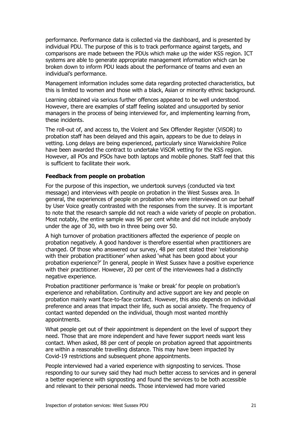performance. Performance data is collected via the dashboard, and is presented by individual PDU. The purpose of this is to track performance against targets, and comparisons are made between the PDUs which make up the wider KSS region. ICT systems are able to generate appropriate management information which can be broken down to inform PDU leads about the performance of teams and even an individual's performance.

Management information includes some data regarding protected characteristics, but this is limited to women and those with a black, Asian or minority ethnic background.

Learning obtained via serious further offences appeared to be well understood. However, there are examples of staff feeling isolated and unsupported by senior managers in the process of being interviewed for, and implementing learning from, these incidents.

The roll-out of, and access to, the Violent and Sex Offender Register (ViSOR) to probation staff has been delayed and this again, appears to be due to delays in vetting. Long delays are being experienced, particularly since Warwickshire Police have been awarded the contract to undertake ViSOR vetting for the KSS region. However, all POs and PSOs have both laptops and mobile phones. Staff feel that this is sufficient to facilitate their work.

#### **Feedback from people on probation**

For the purpose of this inspection, we undertook surveys (conducted via text message) and interviews with people on probation in the West Sussex area. In general, the experiences of people on probation who were interviewed on our behalf by User Voice greatly contrasted with the responses from the survey. It is important to note that the research sample did not reach a wide variety of people on probation. Most notably, the entire sample was 96 per cent white and did not include anybody under the age of 30, with two in three being over 50.

A high turnover of probation practitioners affected the experience of people on probation negatively. A good handover is therefore essential when practitioners are changed. Of those who answered our survey, 48 per cent stated their 'relationship with their probation practitioner' when asked 'what has been good about your probation experience?' In general, people in West Sussex have a positive experience with their practitioner. However, 20 per cent of the interviewees had a distinctly negative experience.

Probation practitioner performance is 'make or break' for people on probation's experience and rehabilitation. Continuity and active support are key and people on probation mainly want face-to-face contact. However, this also depends on individual preference and areas that impact their life, such as social anxiety. The frequency of contact wanted depended on the individual, though most wanted monthly appointments.

What people get out of their appointment is dependent on the level of support they need. Those that are more independent and have fewer support needs want less contact. When asked, 88 per cent of people on probation agreed that appointments are within a reasonable travelling distance. This may have been impacted by Covid-19 restrictions and subsequent phone appointments.

People interviewed had a varied experience with signposting to services. Those responding to our survey said they had much better access to services and in general a better experience with signposting and found the services to be both accessible and relevant to their personal needs. Those interviewed had more varied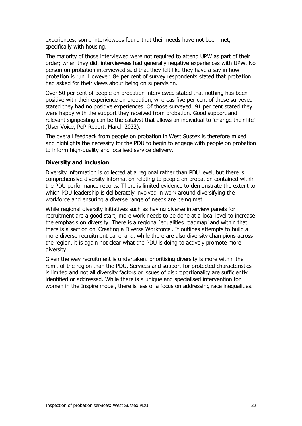experiences; some interviewees found that their needs have not been met, specifically with housing.

The majority of those interviewed were not required to attend UPW as part of their order; when they did, interviewees had generally negative experiences with UPW. No person on probation interviewed said that they felt like they have a say in how probation is run. However, 84 per cent of survey respondents stated that probation had asked for their views about being on supervision.

Over 50 per cent of people on probation interviewed stated that nothing has been positive with their experience on probation, whereas five per cent of those surveyed stated they had no positive experiences. Of those surveyed, 91 per cent stated they were happy with the support they received from probation. Good support and relevant signposting can be the catalyst that allows an individual to 'change their life' (User Voice, PoP Report, March 2022).

The overall feedback from people on probation in West Sussex is therefore mixed and highlights the necessity for the PDU to begin to engage with people on probation to inform high-quality and localised service delivery.

#### **Diversity and inclusion**

Diversity information is collected at a regional rather than PDU level, but there is comprehensive diversity information relating to people on probation contained within the PDU performance reports. There is limited evidence to demonstrate the extent to which PDU leadership is deliberately involved in work around diversifying the workforce and ensuring a diverse range of needs are being met.

While regional diversity initiatives such as having diverse interview panels for recruitment are a good start, more work needs to be done at a local level to increase the emphasis on diversity. There is a regional 'equalities roadmap' and within that there is a section on 'Creating a Diverse Workforce'. It outlines attempts to build a more diverse recruitment panel and, while there are also diversity champions across the region, it is again not clear what the PDU is doing to actively promote more diversity.

Given the way recruitment is undertaken. prioritising diversity is more within the remit of the region than the PDU, Services and support for protected characteristics is limited and not all diversity factors or issues of disproportionality are sufficiently identified or addressed. While there is a unique and specialised intervention for women in the Inspire model, there is less of a focus on addressing race inequalities.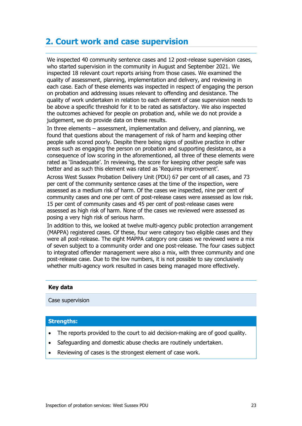# <span id="page-22-0"></span>**2. Court work and case supervision**

We inspected 40 community sentence cases and 12 post-release supervision cases, who started supervision in the community in August and September 2021. We inspected 18 relevant court reports arising from those cases. We examined the quality of assessment, planning, implementation and delivery, and reviewing in each case. Each of these elements was inspected in respect of engaging the person on probation and addressing issues relevant to offending and desistance. The quality of work undertaken in relation to each element of case supervision needs to be above a specific threshold for it to be rated as satisfactory. We also inspected the outcomes achieved for people on probation and, while we do not provide a judgement, we do provide data on these results.

In three elements – assessment, implementation and delivery, and planning, we found that questions about the management of risk of harm and keeping other people safe scored poorly. Despite there being signs of positive practice in other areas such as engaging the person on probation and supporting desistance, as a consequence of low scoring in the aforementioned, all three of these elements were rated as 'Iinadequate'. In reviewing, the score for keeping other people safe was better and as such this element was rated as 'Requires improvement'.

Across West Sussex Probation Delivery Unit (PDU) 67 per cent of all cases, and 73 per cent of the community sentence cases at the time of the inspection, were assessed as a medium risk of harm. Of the cases we inspected, nine per cent of community cases and one per cent of post-release cases were assessed as low risk. 15 per cent of community cases and 45 per cent of post-release cases were assessed as high risk of harm. None of the cases we reviewed were assessed as posing a very high risk of serious harm.

In addition to this, we looked at twelve multi-agency public protection arrangement (MAPPA) registered cases. Of these, four were category two eligible cases and they were all post-release. The eight MAPPA category one cases we reviewed were a mix of seven subject to a community order and one post-release. The four cases subject to integrated offender management were also a mix, with three community and one post-release case. Due to the low numbers, it is not possible to say conclusively whether multi-agency work resulted in cases being managed more effectively.

#### **Key data**

Case supervision

#### **Strengths:**

- The reports provided to the court to aid decision-making are of good quality.
- Safeguarding and domestic abuse checks are routinely undertaken.
- Reviewing of cases is the strongest element of case work.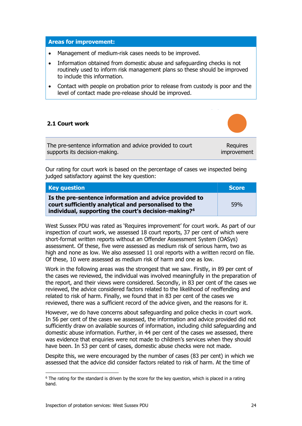#### **Areas for improvement:**

- Management of medium-risk cases needs to be improved.
- Information obtained from domestic abuse and safeguarding checks is not routinely used to inform risk management plans so these should be improved to include this information.
- Contact with people on probation prior to release from custody is poor and the level of contact made pre-release should be improved.

### **2.1 Court work**

The pre-sentence information and advice provided to court supports its decision-making.

Requires improvement

Our rating for court work is based on the percentage of cases we inspected being judged satisfactory against the key question:

| <b>Key question</b>                                                                                                                                                                 | <b>Score</b> |
|-------------------------------------------------------------------------------------------------------------------------------------------------------------------------------------|--------------|
| Is the pre-sentence information and advice provided to<br>court sufficiently analytical and personalised to the<br>individual, supporting the court's decision-making? <sup>6</sup> | 59%          |

West Sussex PDU was rated as 'Requires improvement' for court work. As part of our inspection of court work, we assessed 18 court reports, 37 per cent of which were short-format written reports without an Offender Assessment System (OASys) assessment. Of these, five were assessed as medium risk of serious harm, two as high and none as low. We also assessed 11 oral reports with a written record on file. Of these, 10 were assessed as medium risk of harm and one as low.

Work in the following areas was the strongest that we saw. Firstly, in 89 per cent of the cases we reviewed, the individual was involved meaningfully in the preparation of the report, and their views were considered. Secondly, in 83 per cent of the cases we reviewed, the advice considered factors related to the likelihood of reoffending and related to risk of harm. Finally, we found that in 83 per cent of the cases we reviewed, there was a sufficient record of the advice given, and the reasons for it.

However, we do have concerns about safeguarding and police checks in court work. In 56 per cent of the cases we assessed, the information and advice provided did not sufficiently draw on available sources of information, including child safeguarding and domestic abuse information. Further, in 44 per cent of the cases we assessed, there was evidence that enquiries were not made to children's services when they should have been. In 53 per cent of cases, domestic abuse checks were not made.

Despite this, we were encouraged by the number of cases (83 per cent) in which we assessed that the advice did consider factors related to risk of harm. At the time of

<span id="page-23-0"></span> $6$  The rating for the standard is driven by the score for the key question, which is placed in a rating band.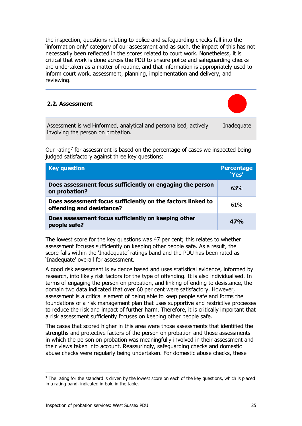the inspection, questions relating to police and safeguarding checks fall into the 'information only' category of our assessment and as such, the impact of this has not necessarily been reflected in the scores related to court work. Nonetheless, it is critical that work is done across the PDU to ensure police and safeguarding checks are undertaken as a matter of routine, and that information is appropriately used to inform court work, assessment, planning, implementation and delivery, and reviewing.

#### **2.2. Assessment**



Assessment is well-informed, analytical and personalised, actively involving the person on probation. Inadequate

Our rating<sup>[7](#page-24-0)</sup> for assessment is based on the percentage of cases we inspected being judged satisfactory against three key questions:

| <b>Key question</b>                                                                      | <b>Percentage</b><br>'Yes' |
|------------------------------------------------------------------------------------------|----------------------------|
| Does assessment focus sufficiently on engaging the person<br>on probation?               | 63%                        |
| Does assessment focus sufficiently on the factors linked to<br>offending and desistance? | 61%                        |
| Does assessment focus sufficiently on keeping other<br>people safe?                      | 47%                        |

The lowest score for the key questions was 47 per cent; this relates to whether assessment focuses sufficiently on keeping other people safe. As a result, the score falls within the 'Inadequate' ratings band and the PDU has been rated as 'Inadequate' overall for assessment.

A good risk assessment is evidence based and uses statistical evidence, informed by research, into likely risk factors for the type of offending. It is also individualised. In terms of engaging the person on probation, and linking offending to desistance, the domain two data indicated that over 60 per cent were satisfactory. However, assessment is a critical element of being able to keep people safe and forms the foundations of a risk management plan that uses supportive and restrictive processes to reduce the risk and impact of further harm. Therefore, it is critically important that a risk assessment sufficiently focuses on keeping other people safe.

The cases that scored higher in this area were those assessments that identified the strengths and protective factors of the person on probation and those assessments in which the person on probation was meaningfully involved in their assessment and their views taken into account. Reassuringly, safeguarding checks and domestic abuse checks were regularly being undertaken. For domestic abuse checks, these

<span id="page-24-0"></span> $7$  The rating for the standard is driven by the lowest score on each of the key questions, which is placed in a rating band, indicated in bold in the table.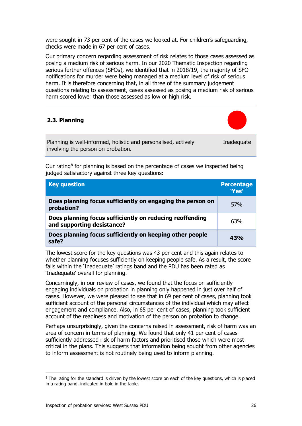were sought in 73 per cent of the cases we looked at. For children's safeguarding, checks were made in 67 per cent of cases.

Our primary concern regarding assessment of risk relates to those cases assessed as posing a medium risk of serious harm. In our 2020 Thematic Inspection regarding serious further offences (SFOs), we identified that in 2018/19, the majority of SFO notifications for murder were being managed at a medium level of risk of serious harm. It is therefore concerning that, in all three of the summary judgement questions relating to assessment, cases assessed as posing a medium risk of serious harm scored lower than those assessed as low or high risk.

# **2.3. Planning**



Planning is well-informed, holistic and personalised, actively involving the person on probation. Inadequate

Our rating<sup>[8](#page-25-0)</sup> for planning is based on the percentage of cases we inspected being judged satisfactory against three key questions:

| <b>Key question</b>                                                                    | <b>Percentage</b><br>"Yes" |
|----------------------------------------------------------------------------------------|----------------------------|
| Does planning focus sufficiently on engaging the person on<br>probation?               | 57 <sub>%</sub>            |
| Does planning focus sufficiently on reducing reoffending<br>and supporting desistance? | 63%                        |
| Does planning focus sufficiently on keeping other people<br>safe?                      | 43%                        |

The lowest score for the key questions was 43 per cent and this again relates to whether planning focuses sufficiently on keeping people safe. As a result, the score falls within the 'Inadequate' ratings band and the PDU has been rated as 'Inadequate' overall for planning.

Concerningly, in our review of cases, we found that the focus on sufficiently engaging individuals on probation in planning only happened in just over half of cases. However, we were pleased to see that in 69 per cent of cases, planning took sufficient account of the personal circumstances of the individual which may affect engagement and compliance. Also, in 65 per cent of cases, planning took sufficient account of the readiness and motivation of the person on probation to change.

Perhaps unsurprisingly, given the concerns raised in assessment, risk of harm was an area of concern in terms of planning. We found that only 41 per cent of cases sufficiently addressed risk of harm factors and prioritised those which were most critical in the plans. This suggests that information being sought from other agencies to inform assessment is not routinely being used to inform planning.

<span id="page-25-0"></span><sup>&</sup>lt;sup>8</sup> The rating for the standard is driven by the lowest score on each of the key questions, which is placed in a rating band, indicated in bold in the table.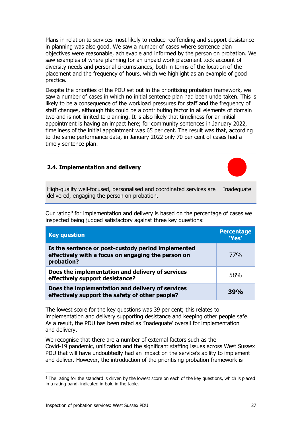Plans in relation to services most likely to reduce reoffending and support desistance in planning was also good. We saw a number of cases where sentence plan objectives were reasonable, achievable and informed by the person on probation. We saw examples of where planning for an unpaid work placement took account of diversity needs and personal circumstances, both in terms of the location of the placement and the frequency of hours, which we highlight as an example of good practice.

Despite the priorities of the PDU set out in the prioritising probation framework, we saw a number of cases in which no initial sentence plan had been undertaken. This is likely to be a consequence of the workload pressures for staff and the frequency of staff changes, although this could be a contributing factor in all elements of domain two and is not limited to planning. It is also likely that timeliness for an initial appointment is having an impact here; for community sentences in January 2022, timeliness of the initial appointment was 65 per cent. The result was that, according to the same performance data, in January 2022 only 70 per cent of cases had a timely sentence plan.

### **2.4. Implementation and delivery**



High-quality well-focused, personalised and coordinated services are Inadequate delivered, engaging the person on probation.

Our rating<sup>[9](#page-26-0)</sup> for implementation and delivery is based on the percentage of cases we inspected being judged satisfactory against three key questions:

| <b>Key question</b>                                                                                                    | <b>Percentage</b><br>'Yes' |
|------------------------------------------------------------------------------------------------------------------------|----------------------------|
| Is the sentence or post-custody period implemented<br>effectively with a focus on engaging the person on<br>probation? | 77%                        |
| Does the implementation and delivery of services<br>effectively support desistance?                                    | 58%                        |
| Does the implementation and delivery of services<br>effectively support the safety of other people?                    | 39%                        |

The lowest score for the key questions was 39 per cent; this relates to implementation and delivery supporting desistance and keeping other people safe. As a result, the PDU has been rated as 'Inadequate' overall for implementation and delivery.

We recognise that there are a number of external factors such as the Covid-19 pandemic, unification and the significant staffing issues across West Sussex PDU that will have undoubtedly had an impact on the service's ability to implement and deliver. However, the introduction of the prioritising probation framework is

<span id="page-26-0"></span><sup>&</sup>lt;sup>9</sup> The rating for the standard is driven by the lowest score on each of the key questions, which is placed in a rating band, indicated in bold in the table.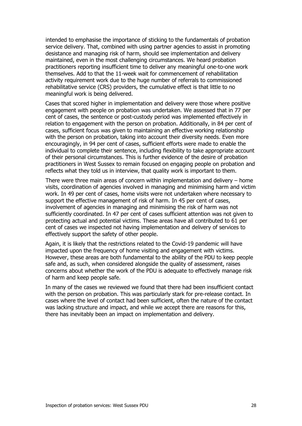intended to emphasise the importance of sticking to the fundamentals of probation service delivery. That, combined with using partner agencies to assist in promoting desistance and managing risk of harm, should see implementation and delivery maintained, even in the most challenging circumstances. We heard probation practitioners reporting insufficient time to deliver any meaningful one-to-one work themselves. Add to that the 11-week wait for commencement of rehabilitation activity requirement work due to the huge number of referrals to commissioned rehabilitative service (CRS) providers, the cumulative effect is that little to no meaningful work is being delivered.

Cases that scored higher in implementation and delivery were those where positive engagement with people on probation was undertaken. We assessed that in 77 per cent of cases, the sentence or post-custody period was implemented effectively in relation to engagement with the person on probation. Additionally, in 84 per cent of cases, sufficient focus was given to maintaining an effective working relationship with the person on probation, taking into account their diversity needs. Even more encouragingly, in 94 per cent of cases, sufficient efforts were made to enable the individual to complete their sentence, including flexibility to take appropriate account of their personal circumstances. This is further evidence of the desire of probation practitioners in West Sussex to remain focused on engaging people on probation and reflects what they told us in interview, that quality work is important to them.

There were three main areas of concern within implementation and delivery – home visits, coordination of agencies involved in managing and minimising harm and victim work. In 49 per cent of cases, home visits were not undertaken where necessary to support the effective management of risk of harm. In 45 per cent of cases, involvement of agencies in managing and minimising the risk of harm was not sufficiently coordinated. In 47 per cent of cases sufficient attention was not given to protecting actual and potential victims. These areas have all contributed to 61 per cent of cases we inspected not having implementation and delivery of services to effectively support the safety of other people.

Again, it is likely that the restrictions related to the Covid-19 pandemic will have impacted upon the frequency of home visiting and engagement with victims. However, these areas are both fundamental to the ability of the PDU to keep people safe and, as such, when considered alongside the quality of assessment, raises concerns about whether the work of the PDU is adequate to effectively manage risk of harm and keep people safe.

In many of the cases we reviewed we found that there had been insufficient contact with the person on probation. This was particularly stark for pre-release contact. In cases where the level of contact had been sufficient, often the nature of the contact was lacking structure and impact, and while we accept there are reasons for this, there has inevitably been an impact on implementation and delivery.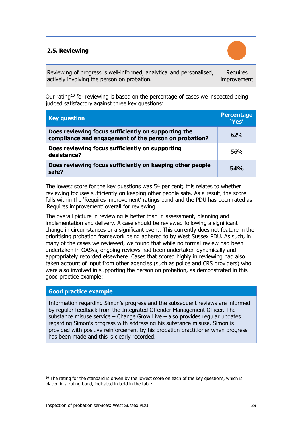# **2.5. Reviewing**



Reviewing of progress is well-informed, analytical and personalised, actively involving the person on probation.

Requires improvement

Our rating<sup>[10](#page-28-0)</sup> for reviewing is based on the percentage of cases we inspected being judged satisfactory against three key questions:

| <b>Key question</b>                                                                                          | <b>Percentage</b><br>'Yes' |
|--------------------------------------------------------------------------------------------------------------|----------------------------|
| Does reviewing focus sufficiently on supporting the<br>compliance and engagement of the person on probation? | 62%                        |
| Does reviewing focus sufficiently on supporting<br>desistance?                                               | 56%                        |
| Does reviewing focus sufficiently on keeping other people<br>safe?                                           | 54%                        |

The lowest score for the key questions was 54 per cent; this relates to whether reviewing focuses sufficiently on keeping other people safe. As a result, the score falls within the 'Requires improvement' ratings band and the PDU has been rated as 'Requires improvement' overall for reviewing.

The overall picture in reviewing is better than in assessment, planning and implementation and delivery. A case should be reviewed following a significant change in circumstances or a significant event. This currently does not feature in the prioritising probation framework being adhered to by West Sussex PDU. As such, in many of the cases we reviewed, we found that while no formal review had been undertaken in OASys, ongoing reviews had been undertaken dynamically and appropriately recorded elsewhere. Cases that scored highly in reviewing had also taken account of input from other agencies (such as police and CRS providers) who were also involved in supporting the person on probation, as demonstrated in this good practice example:

# **Good practice example**

Information regarding Simon's progress and the subsequent reviews are informed by regular feedback from the Integrated Offender Management Officer. The substance misuse service – Change Grow Live – also provides regular updates regarding Simon's progress with addressing his substance misuse. Simon is provided with positive reinforcement by his probation practitioner when progress has been made and this is clearly recorded.

<span id="page-28-0"></span> $10$  The rating for the standard is driven by the lowest score on each of the key questions, which is placed in a rating band, indicated in bold in the table.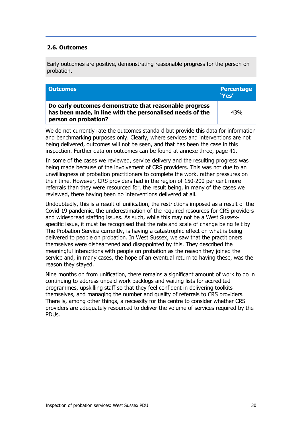### **2.6. Outcomes**

Early outcomes are positive, demonstrating reasonable progress for the person on probation.

| <b>Outcomes</b>                                                                                                                             | <b>Percentage</b><br>'Yes' |
|---------------------------------------------------------------------------------------------------------------------------------------------|----------------------------|
| Do early outcomes demonstrate that reasonable progress<br>has been made, in line with the personalised needs of the<br>person on probation? | 43%                        |

We do not currently rate the outcomes standard but provide this data for information and benchmarking purposes only. Clearly, where services and interventions are not being delivered, outcomes will not be seen, and that has been the case in this inspection. Further data on outcomes can be found at annexe three, page 41.

In some of the cases we reviewed, service delivery and the resulting progress was being made because of the involvement of CRS providers. This was not due to an unwillingness of probation practitioners to complete the work, rather pressures on their time. However, CRS providers had in the region of 150-200 per cent more referrals than they were resourced for, the result being, in many of the cases we reviewed, there having been no interventions delivered at all.

Undoubtedly, this is a result of unification, the restrictions imposed as a result of the Covid-19 pandemic, the underestimation of the required resources for CRS providers and widespread staffing issues. As such, while this may not be a West Sussexspecific issue, it must be recognised that the rate and scale of change being felt by The Probation Service currently, is having a catastrophic effect on what is being delivered to people on probation. In West Sussex, we saw that the practitioners themselves were disheartened and disappointed by this. They described the meaningful interactions with people on probation as the reason they joined the service and, in many cases, the hope of an eventual return to having these, was the reason they stayed.

Nine months on from unification, there remains a significant amount of work to do in continuing to address unpaid work backlogs and waiting lists for accredited programmes, upskilling staff so that they feel confident in delivering toolkits themselves, and managing the number and quality of referrals to CRS providers. There is, among other things, a necessity for the centre to consider whether CRS providers are adequately resourced to deliver the volume of services required by the PDUs.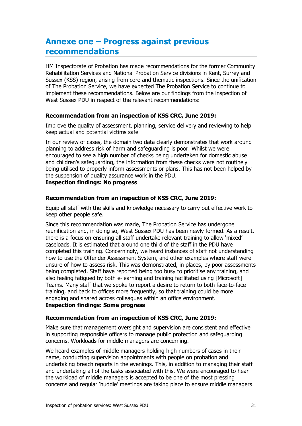# <span id="page-30-0"></span>**Annexe one – Progress against previous recommendations**

HM Inspectorate of Probation has made recommendations for the former Community Rehabilitation Services and National Probation Service divisions in Kent, Surrey and Sussex (KSS) region, arising from core and thematic inspections. Since the unification of The Probation Service, we have expected The Probation Service to continue to implement these recommendations. Below are our findings from the inspection of West Sussex PDU in respect of the relevant recommendations:

### **Recommendation from an inspection of KSS CRC, June 2019:**

Improve the quality of assessment, planning, service delivery and reviewing to help keep actual and potential victims safe

In our review of cases, the domain two data clearly demonstrates that work around planning to address risk of harm and safeguarding is poor. Whilst we were encouraged to see a high number of checks being undertaken for domestic abuse and children's safeguarding, the information from these checks were not routinely being utilised to properly inform assessments or plans. This has not been helped by the suspension of quality assurance work in the PDU.

### **Inspection findings: No progress**

#### **Recommendation from an inspection of KSS CRC, June 2019:**

Equip all staff with the skills and knowledge necessary to carry out effective work to keep other people safe.

Since this recommendation was made, The Probation Service has undergone reunification and, in doing so, West Sussex PDU has been newly formed. As a result, there is a focus on ensuring all staff undertake relevant training to allow 'mixed' caseloads. It is estimated that around one third of the staff in the PDU have completed this training. Concerningly, we heard instances of staff not understanding how to use the Offender Assessment System, and other examples where staff were unsure of how to assess risk. This was demonstrated, in places, by poor assessments being completed. Staff have reported being too busy to prioritise any training, and also feeling fatigued by both e-learning and training facilitated using [Microsoft] Teams. Many staff that we spoke to report a desire to return to both face-to-face training, and back to offices more frequently, so that training could be more engaging and shared across colleagues within an office environment. **Inspection findings: Some progress**

#### **Recommendation from an inspection of KSS CRC, June 2019:**

Make sure that management oversight and supervision are consistent and effective in supporting responsible officers to manage public protection and safeguarding concerns. Workloads for middle managers are concerning.

We heard examples of middle managers holding high numbers of cases in their name, conducting supervision appointments with people on probation and undertaking breach reports in the evenings. This, in addition to managing their staff and undertaking all of the tasks associated with this. We were encouraged to hear the workload of middle managers is accepted to be one of the most pressing concerns and regular 'huddle' meetings are taking place to ensure middle managers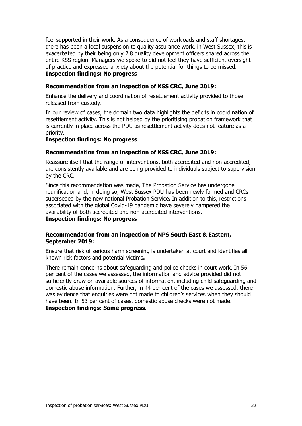feel supported in their work. As a consequence of workloads and staff shortages, there has been a local suspension to quality assurance work, in West Sussex, this is exacerbated by their being only 2.8 quality development officers shared across the entire KSS region. Managers we spoke to did not feel they have sufficient oversight of practice and expressed anxiety about the potential for things to be missed. **Inspection findings: No progress**

#### **Recommendation from an inspection of KSS CRC, June 2019:**

Enhance the delivery and coordination of resettlement activity provided to those released from custody.

In our review of cases, the domain two data highlights the deficits in coordination of resettlement activity. This is not helped by the prioritising probation framework that is currently in place across the PDU as resettlement activity does not feature as a priority.

#### **Inspection findings: No progress**

#### **Recommendation from an inspection of KSS CRC, June 2019:**

Reassure itself that the range of interventions, both accredited and non-accredited, are consistently available and are being provided to individuals subject to supervision by the CRC.

Since this recommendation was made, The Probation Service has undergone reunification and, in doing so, West Sussex PDU has been newly formed and CRCs superseded by the new national Probation Service**.** In addition to this, restrictions associated with the global Covid-19 pandemic have severely hampered the availability of both accredited and non-accredited interventions. **Inspection findings: No progress**

### **Recommendation from an inspection of NPS South East & Eastern, September 2019:**

Ensure that risk of serious harm screening is undertaken at court and identifies all known risk factors and potential victims**.**

<span id="page-31-0"></span>There remain concerns about safeguarding and police checks in court work. In 56 per cent of the cases we assessed, the information and advice provided did not sufficiently draw on available sources of information, including child safeguarding and domestic abuse information. Further, in 44 per cent of the cases we assessed, there was evidence that enquiries were not made to children's services when they should have been. In 53 per cent of cases, domestic abuse checks were not made. **Inspection findings: Some progress.**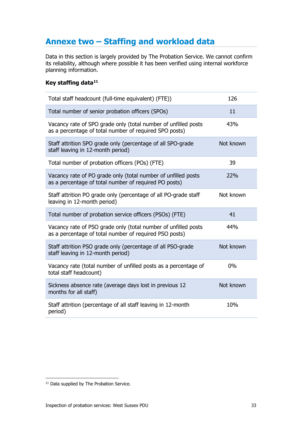# **Annexe two – Staffing and workload data**

Data in this section is largely provided by The Probation Service. We cannot confirm its reliability, although where possible it has been verified using internal workforce planning information.

# <span id="page-32-1"></span>**Key staffing data[11](#page-32-0)**

| Total staff headcount (full-time equivalent) (FTE))                                                                      | 126       |
|--------------------------------------------------------------------------------------------------------------------------|-----------|
| Total number of senior probation officers (SPOs)                                                                         | 11        |
| Vacancy rate of SPO grade only (total number of unfilled posts<br>as a percentage of total number of required SPO posts) | 43%       |
| Staff attrition SPO grade only (percentage of all SPO-grade<br>staff leaving in 12-month period)                         | Not known |
| Total number of probation officers (POs) (FTE)                                                                           | 39        |
| Vacancy rate of PO grade only (total number of unfilled posts<br>as a percentage of total number of required PO posts)   | 22%       |
| Staff attrition PO grade only (percentage of all PO-grade staff<br>leaving in 12-month period)                           | Not known |
| Total number of probation service officers (PSOs) (FTE)                                                                  | 41        |
| Vacancy rate of PSO grade only (total number of unfilled posts<br>as a percentage of total number of required PSO posts) | 44%       |
| Staff attrition PSO grade only (percentage of all PSO-grade<br>staff leaving in 12-month period)                         | Not known |
| Vacancy rate (total number of unfilled posts as a percentage of<br>total staff headcount)                                | 0%        |
| Sickness absence rate (average days lost in previous 12<br>months for all staff)                                         | Not known |
| Staff attrition (percentage of all staff leaving in 12-month<br>period)                                                  | 10%       |

<span id="page-32-0"></span><sup>&</sup>lt;sup>11</sup> Data supplied by The Probation Service.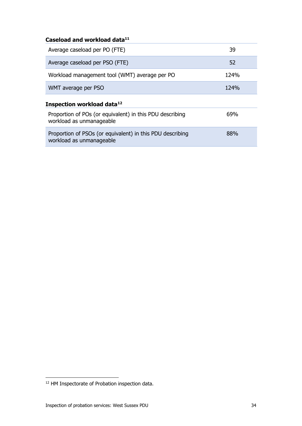| Caseload and workload data <sup>11</sup>                                              |      |
|---------------------------------------------------------------------------------------|------|
| Average caseload per PO (FTE)                                                         | 39   |
| Average caseload per PSO (FTE)                                                        | 52   |
| Workload management tool (WMT) average per PO                                         | 124% |
| WMT average per PSO                                                                   | 124% |
| Inspection workload data <sup>12</sup>                                                |      |
| Proportion of POs (or equivalent) in this PDU describing<br>workload as unmanageable  | 69%  |
| Proportion of PSOs (or equivalent) in this PDU describing<br>workload as unmanageable | 88%  |
|                                                                                       |      |

<span id="page-33-0"></span><sup>12</sup> HM Inspectorate of Probation inspection data.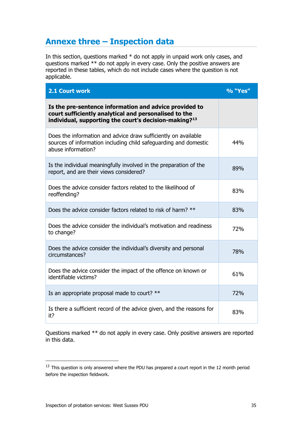# <span id="page-34-0"></span>**Annexe three – Inspection data**

In this section, questions marked \* do not apply in unpaid work only cases, and questions marked \*\* do not apply in every case. Only the positive answers are reported in these tables, which do not include cases where the question is not applicable.

| 2.1 Court work                                                                                                                                                                       | % "Yes" |
|--------------------------------------------------------------------------------------------------------------------------------------------------------------------------------------|---------|
| Is the pre-sentence information and advice provided to<br>court sufficiently analytical and personalised to the<br>individual, supporting the court's decision-making? <sup>13</sup> |         |
| Does the information and advice draw sufficiently on available<br>sources of information including child safeguarding and domestic<br>abuse information?                             | 44%     |
| Is the individual meaningfully involved in the preparation of the<br>report, and are their views considered?                                                                         | 89%     |
| Does the advice consider factors related to the likelihood of<br>reoffending?                                                                                                        | 83%     |
| Does the advice consider factors related to risk of harm? **                                                                                                                         | 83%     |
| Does the advice consider the individual's motivation and readiness<br>to change?                                                                                                     | 72%     |
| Does the advice consider the individual's diversity and personal<br>circumstances?                                                                                                   | 78%     |
| Does the advice consider the impact of the offence on known or<br>identifiable victims?                                                                                              | 61%     |
| Is an appropriate proposal made to court? **                                                                                                                                         | 72%     |
| Is there a sufficient record of the advice given, and the reasons for<br>it?                                                                                                         | 83%     |

Questions marked \*\* do not apply in every case. Only positive answers are reported in this data.

<span id="page-34-1"></span> $13$  This question is only answered where the PDU has prepared a court report in the 12 month period before the inspection fieldwork.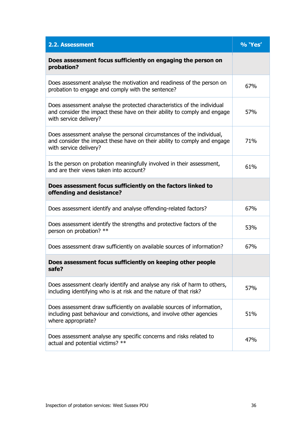| 2.2. Assessment                                                                                                                                                               | % 'Yes' |
|-------------------------------------------------------------------------------------------------------------------------------------------------------------------------------|---------|
| Does assessment focus sufficiently on engaging the person on<br>probation?                                                                                                    |         |
| Does assessment analyse the motivation and readiness of the person on<br>probation to engage and comply with the sentence?                                                    | 67%     |
| Does assessment analyse the protected characteristics of the individual<br>and consider the impact these have on their ability to comply and engage<br>with service delivery? | 57%     |
| Does assessment analyse the personal circumstances of the individual,<br>and consider the impact these have on their ability to comply and engage<br>with service delivery?   | 71%     |
| Is the person on probation meaningfully involved in their assessment,<br>and are their views taken into account?                                                              | 61%     |
| Does assessment focus sufficiently on the factors linked to<br>offending and desistance?                                                                                      |         |
| Does assessment identify and analyse offending-related factors?                                                                                                               | 67%     |
| Does assessment identify the strengths and protective factors of the<br>person on probation? **                                                                               | 53%     |
| Does assessment draw sufficiently on available sources of information?                                                                                                        | 67%     |
| Does assessment focus sufficiently on keeping other people<br>safe?                                                                                                           |         |
| Does assessment clearly identify and analyse any risk of harm to others,<br>including identifying who is at risk and the nature of that risk?                                 | 57%     |
| Does assessment draw sufficiently on available sources of information,<br>including past behaviour and convictions, and involve other agencies<br>where appropriate?          | 51%     |
| Does assessment analyse any specific concerns and risks related to<br>actual and potential victims? **                                                                        | 47%     |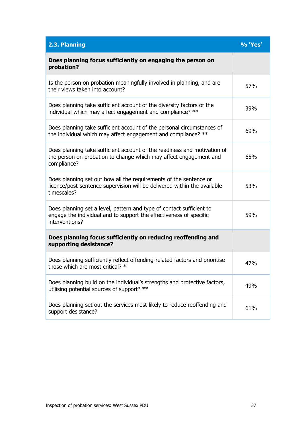| 2.3. Planning                                                                                                                                                | % 'Yes' |
|--------------------------------------------------------------------------------------------------------------------------------------------------------------|---------|
| Does planning focus sufficiently on engaging the person on<br>probation?                                                                                     |         |
| Is the person on probation meaningfully involved in planning, and are<br>their views taken into account?                                                     | 57%     |
| Does planning take sufficient account of the diversity factors of the<br>individual which may affect engagement and compliance? **                           | 39%     |
| Does planning take sufficient account of the personal circumstances of<br>the individual which may affect engagement and compliance? **                      | 69%     |
| Does planning take sufficient account of the readiness and motivation of<br>the person on probation to change which may affect engagement and<br>compliance? | 65%     |
| Does planning set out how all the requirements of the sentence or<br>licence/post-sentence supervision will be delivered within the available<br>timescales? | 53%     |
| Does planning set a level, pattern and type of contact sufficient to<br>engage the individual and to support the effectiveness of specific<br>interventions? | 59%     |
| Does planning focus sufficiently on reducing reoffending and<br>supporting desistance?                                                                       |         |
| Does planning sufficiently reflect offending-related factors and prioritise<br>those which are most critical? $*$                                            | 47%     |
| Does planning build on the individual's strengths and protective factors,<br>utilising potential sources of support? **                                      | 49%     |
| Does planning set out the services most likely to reduce reoffending and<br>support desistance?                                                              | 61%     |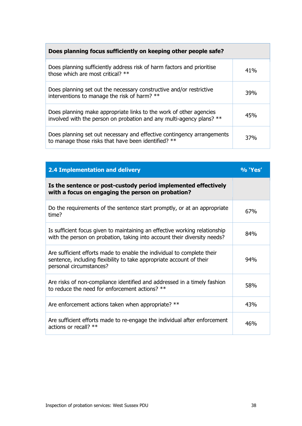# **Does planning focus sufficiently on keeping other people safe?** Does planning sufficiently address risk of harm factors and prioritise Does planning surficiently address risk of narm factors and prioritise and provide those which are most critical? \*\* Does planning set out the necessary constructive and/or restrictive boes planning set out the necessary constructive analyon restrictive  $\frac{39\%}{39\%}$ Does planning make appropriate links to the work of other agencies Does planning make appropriate links to the work of other agencies<br>involved with the person on probation and any multi-agency plans? \*\* Does planning set out necessary and effective contingency arrangements boes planning set out necessary and effective contingency arrangements<br>to manage those risks that have been identified? \*\*

| <b>2.4 Implementation and delivery</b>                                                                                                                                    | % 'Yes' |
|---------------------------------------------------------------------------------------------------------------------------------------------------------------------------|---------|
| Is the sentence or post-custody period implemented effectively<br>with a focus on engaging the person on probation?                                                       |         |
| Do the requirements of the sentence start promptly, or at an appropriate<br>time?                                                                                         | 67%     |
| Is sufficient focus given to maintaining an effective working relationship<br>with the person on probation, taking into account their diversity needs?                    | 84%     |
| Are sufficient efforts made to enable the individual to complete their<br>sentence, including flexibility to take appropriate account of their<br>personal circumstances? | 94%     |
| Are risks of non-compliance identified and addressed in a timely fashion<br>to reduce the need for enforcement actions? **                                                | 58%     |
| Are enforcement actions taken when appropriate? **                                                                                                                        | 43%     |
| Are sufficient efforts made to re-engage the individual after enforcement<br>actions or recall? **                                                                        | 46%     |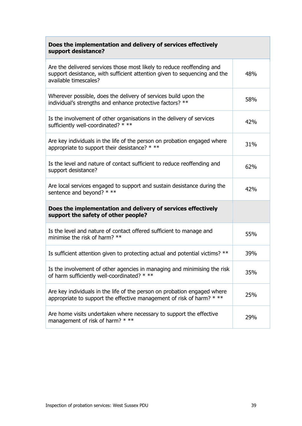| Does the implementation and delivery of services effectively<br>support desistance?                                                                                          |     |
|------------------------------------------------------------------------------------------------------------------------------------------------------------------------------|-----|
| Are the delivered services those most likely to reduce reoffending and<br>support desistance, with sufficient attention given to sequencing and the<br>available timescales? | 48% |
| Wherever possible, does the delivery of services build upon the<br>individual's strengths and enhance protective factors? **                                                 | 58% |
| Is the involvement of other organisations in the delivery of services<br>sufficiently well-coordinated? * **                                                                 | 42% |
| Are key individuals in the life of the person on probation engaged where<br>appropriate to support their desistance? * **                                                    | 31% |
| Is the level and nature of contact sufficient to reduce reoffending and<br>support desistance?                                                                               | 62% |
| Are local services engaged to support and sustain desistance during the<br>sentence and beyond? * **                                                                         | 42% |
| Does the implementation and delivery of services effectively<br>support the safety of other people?                                                                          |     |
| Is the level and nature of contact offered sufficient to manage and<br>minimise the risk of harm? **                                                                         | 55% |
| Is sufficient attention given to protecting actual and potential victims? **                                                                                                 | 39% |
| Is the involvement of other agencies in managing and minimising the risk<br>of harm sufficiently well-coordinated? * **                                                      | 35% |
| Are key individuals in the life of the person on probation engaged where<br>appropriate to support the effective management of risk of harm? * **                            | 25% |
| Are home visits undertaken where necessary to support the effective<br>management of risk of harm? * **                                                                      | 29% |

 $\overline{\phantom{0}}$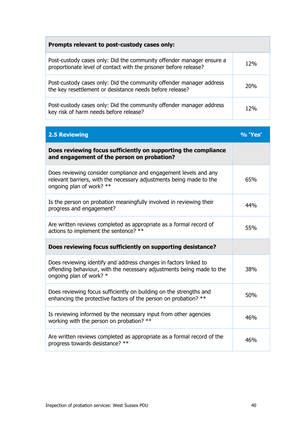| Prompts relevant to post-custody cases only:                                                                                             |     |
|------------------------------------------------------------------------------------------------------------------------------------------|-----|
| Post-custody cases only: Did the community offender manager ensure a<br>proportionate level of contact with the prisoner before release? | 12% |
| Post-custody cases only: Did the community offender manager address<br>the key resettlement or desistance needs before release?          | 20% |
| Post-custody cases only: Did the community offender manager address<br>key risk of harm needs before release?                            | 12% |

| <b>2.5 Reviewing</b>                                                                                                                                                 | % 'Yes' |
|----------------------------------------------------------------------------------------------------------------------------------------------------------------------|---------|
| Does reviewing focus sufficiently on supporting the compliance<br>and engagement of the person on probation?                                                         |         |
| Does reviewing consider compliance and engagement levels and any<br>relevant barriers, with the necessary adjustments being made to the<br>ongoing plan of work? **  | 65%     |
| Is the person on probation meaningfully involved in reviewing their<br>progress and engagement?                                                                      | 44%     |
| Are written reviews completed as appropriate as a formal record of<br>actions to implement the sentence? **                                                          | 55%     |
| Does reviewing focus sufficiently on supporting desistance?                                                                                                          |         |
| Does reviewing identify and address changes in factors linked to<br>offending behaviour, with the necessary adjustments being made to the<br>ongoing plan of work? * | 38%     |
| Does reviewing focus sufficiently on building on the strengths and<br>enhancing the protective factors of the person on probation? **                                | 50%     |
| Is reviewing informed by the necessary input from other agencies<br>working with the person on probation? **                                                         | 46%     |
| Are written reviews completed as appropriate as a formal record of the<br>progress towards desistance? **                                                            | 46%     |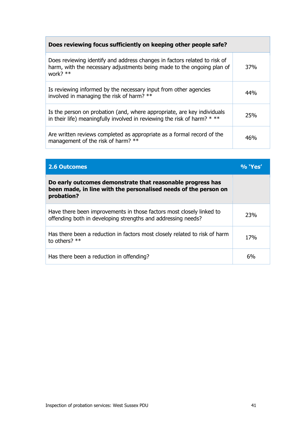# **Does reviewing focus sufficiently on keeping other people safe?**

| Does reviewing identify and address changes in factors related to risk of<br>harm, with the necessary adjustments being made to the ongoing plan of<br>work? ** | 37% |
|-----------------------------------------------------------------------------------------------------------------------------------------------------------------|-----|
| Is reviewing informed by the necessary input from other agencies<br>involved in managing the risk of harm? **                                                   | 44% |
| Is the person on probation (and, where appropriate, are key individuals<br>in their life) meaningfully involved in reviewing the risk of harm? $**$             | 25% |
| Are written reviews completed as appropriate as a formal record of the<br>management of the risk of harm? **                                                    | 46% |

| <b>2.6 Outcomes</b>                                                                                                                         | $\%$ 'Yes' |
|---------------------------------------------------------------------------------------------------------------------------------------------|------------|
| Do early outcomes demonstrate that reasonable progress has<br>been made, in line with the personalised needs of the person on<br>probation? |            |
| Have there been improvements in those factors most closely linked to<br>offending both in developing strengths and addressing needs?        | 23%        |
| Has there been a reduction in factors most closely related to risk of harm<br>to others? $**$                                               | 17%        |
| Has there been a reduction in offending?                                                                                                    | 6%         |